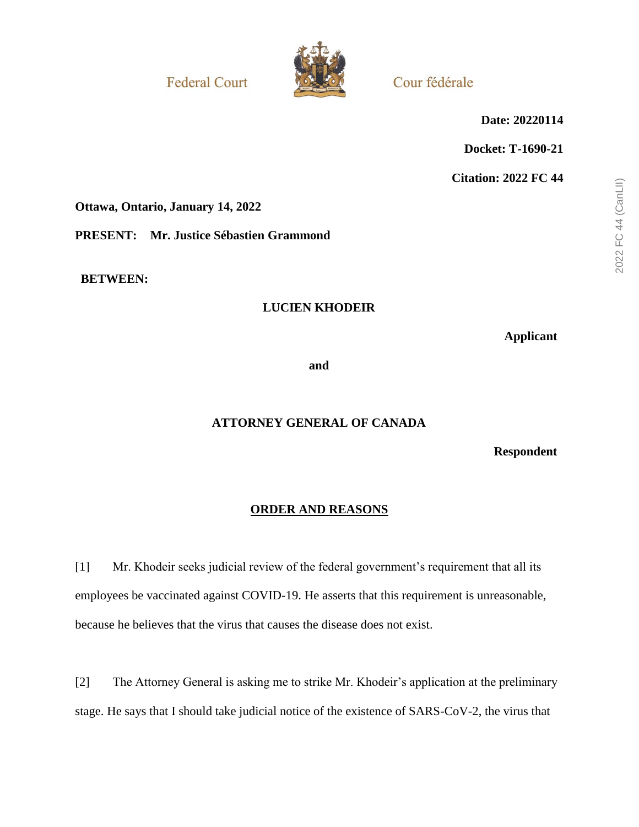**Federal Court** 



Cour fédérale

**Date: 20220114**

**Docket: T-1690-21**

**Citation: 2022 FC 44**

**Ottawa, Ontario, January 14, 2022**

**PRESENT: Mr. Justice Sébastien Grammond**

**BETWEEN:**

## **LUCIEN KHODEIR**

**Applicant**

**and**

# **ATTORNEY GENERAL OF CANADA**

**Respondent**

## **ORDER AND REASONS**

[1] Mr. Khodeir seeks judicial review of the federal government's requirement that all its employees be vaccinated against COVID-19. He asserts that this requirement is unreasonable, because he believes that the virus that causes the disease does not exist.

[2] The Attorney General is asking me to strike Mr. Khodeir's application at the preliminary stage. He says that I should take judicial notice of the existence of SARS-CoV-2, the virus that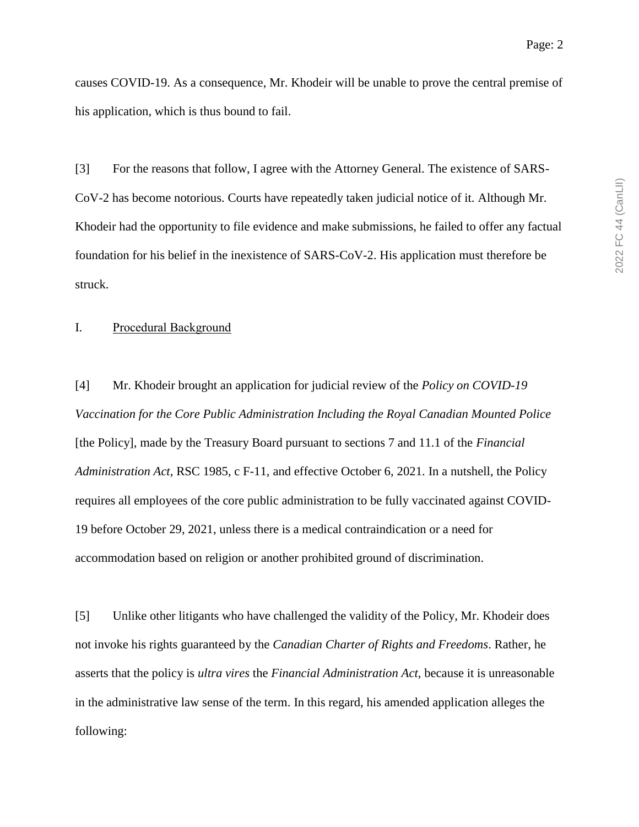causes COVID-19. As a consequence, Mr. Khodeir will be unable to prove the central premise of his application, which is thus bound to fail.

[3] For the reasons that follow, I agree with the Attorney General. The existence of SARS-CoV-2 has become notorious. Courts have repeatedly taken judicial notice of it. Although Mr. Khodeir had the opportunity to file evidence and make submissions, he failed to offer any factual foundation for his belief in the inexistence of SARS-CoV-2. His application must therefore be struck.

#### I. Procedural Background

[4] Mr. Khodeir brought an application for judicial review of the *Policy on COVID-19 Vaccination for the Core Public Administration Including the Royal Canadian Mounted Police* [the Policy], made by the Treasury Board pursuant to sections 7 and 11.1 of the *Financial Administration Act*, RSC 1985, c F-11, and effective October 6, 2021. In a nutshell, the Policy requires all employees of the core public administration to be fully vaccinated against COVID-19 before October 29, 2021, unless there is a medical contraindication or a need for accommodation based on religion or another prohibited ground of discrimination.

[5] Unlike other litigants who have challenged the validity of the Policy, Mr. Khodeir does not invoke his rights guaranteed by the *Canadian Charter of Rights and Freedoms*. Rather, he asserts that the policy is *ultra vires* the *Financial Administration Act*, because it is unreasonable in the administrative law sense of the term. In this regard, his amended application alleges the following: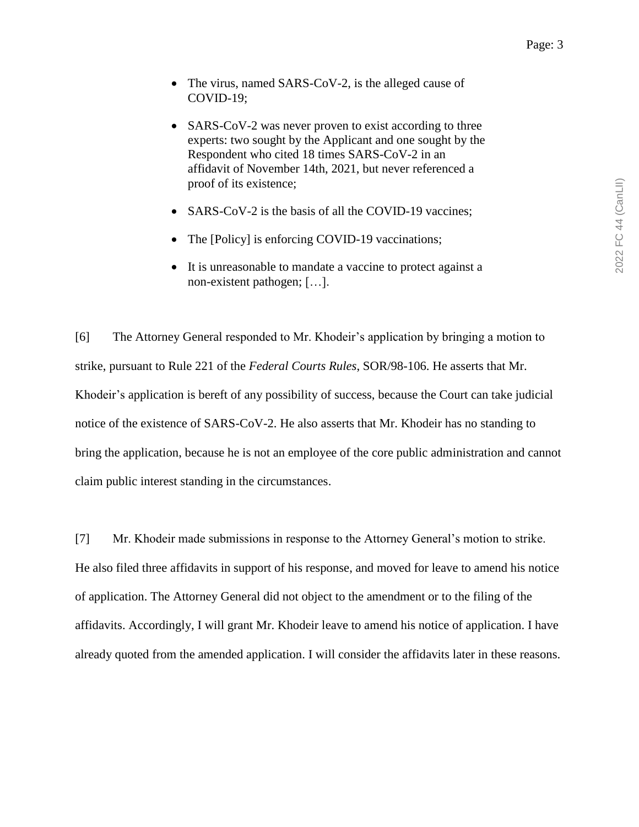- The virus, named SARS-CoV-2, is the alleged cause of COVID-19;
- SARS-CoV-2 was never proven to exist according to three experts: two sought by the Applicant and one sought by the Respondent who cited 18 times SARS-CoV-2 in an affidavit of November 14th, 2021, but never referenced a proof of its existence;
- SARS-CoV-2 is the basis of all the COVID-19 vaccines;
- The [Policy] is enforcing COVID-19 vaccinations;
- It is unreasonable to mandate a vaccine to protect against a non-existent pathogen; […].

[6] The Attorney General responded to Mr. Khodeir's application by bringing a motion to strike, pursuant to Rule 221 of the *Federal Courts Rules*, SOR/98-106. He asserts that Mr. Khodeir's application is bereft of any possibility of success, because the Court can take judicial notice of the existence of SARS-CoV-2. He also asserts that Mr. Khodeir has no standing to bring the application, because he is not an employee of the core public administration and cannot claim public interest standing in the circumstances.

[7] Mr. Khodeir made submissions in response to the Attorney General's motion to strike. He also filed three affidavits in support of his response, and moved for leave to amend his notice of application. The Attorney General did not object to the amendment or to the filing of the affidavits. Accordingly, I will grant Mr. Khodeir leave to amend his notice of application. I have already quoted from the amended application. I will consider the affidavits later in these reasons.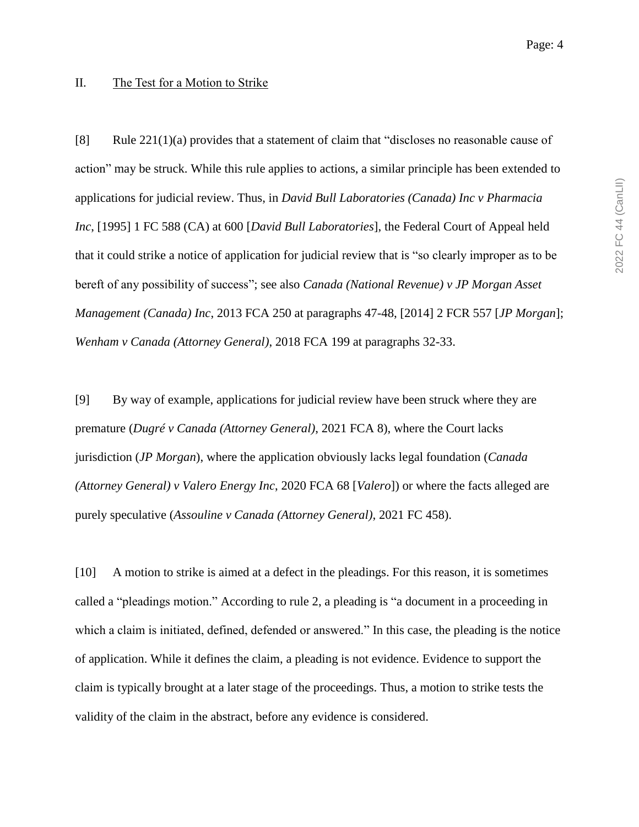#### II. The Test for a Motion to Strike

[8] Rule 221(1)(a) provides that a statement of claim that "discloses no reasonable cause of action" may be struck. While this rule applies to actions, a similar principle has been extended to applications for judicial review. Thus, in *David Bull Laboratories (Canada) Inc v Pharmacia Inc*, [1995] 1 FC 588 (CA) at 600 [*David Bull Laboratories*], the Federal Court of Appeal held that it could strike a notice of application for judicial review that is "so clearly improper as to be bereft of any possibility of success"; see also *Canada (National Revenue) v JP Morgan Asset Management (Canada) Inc*, 2013 FCA 250 at paragraphs 47-48, [2014] 2 FCR 557 [*JP Morgan*]; *Wenham v Canada (Attorney General)*, 2018 FCA 199 at paragraphs 32-33.

[9] By way of example, applications for judicial review have been struck where they are premature (*Dugré v Canada (Attorney General)*, 2021 FCA 8), where the Court lacks jurisdiction (*JP Morgan*), where the application obviously lacks legal foundation (*Canada (Attorney General) v Valero Energy Inc*, 2020 FCA 68 [*Valero*]) or where the facts alleged are purely speculative (*Assouline v Canada (Attorney General)*, 2021 FC 458).

[10] A motion to strike is aimed at a defect in the pleadings. For this reason, it is sometimes called a "pleadings motion." According to rule 2, a pleading is "a document in a proceeding in which a claim is initiated, defined, defended or answered." In this case, the pleading is the notice of application. While it defines the claim, a pleading is not evidence. Evidence to support the claim is typically brought at a later stage of the proceedings. Thus, a motion to strike tests the validity of the claim in the abstract, before any evidence is considered.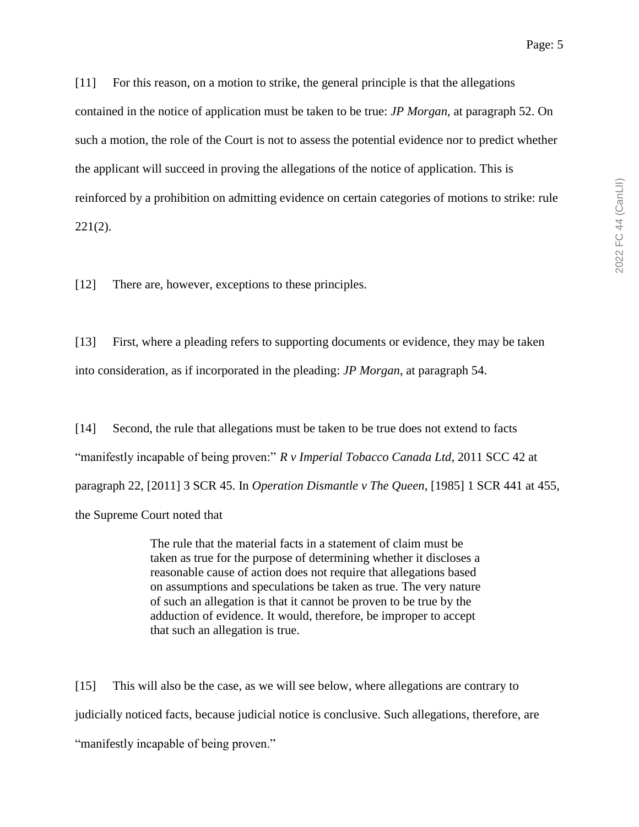[11] For this reason, on a motion to strike, the general principle is that the allegations contained in the notice of application must be taken to be true: *JP Morgan*, at paragraph 52. On such a motion, the role of the Court is not to assess the potential evidence nor to predict whether the applicant will succeed in proving the allegations of the notice of application. This is reinforced by a prohibition on admitting evidence on certain categories of motions to strike: rule 221(2).

[12] There are, however, exceptions to these principles.

[13] First, where a pleading refers to supporting documents or evidence, they may be taken into consideration, as if incorporated in the pleading: *JP Morgan*, at paragraph 54.

[14] Second, the rule that allegations must be taken to be true does not extend to facts "manifestly incapable of being proven:" *R v Imperial Tobacco Canada Ltd*, 2011 SCC 42 at paragraph 22, [2011] 3 SCR 45. In *Operation Dismantle v The Queen*, [1985] 1 SCR 441 at 455, the Supreme Court noted that

> The rule that the material facts in a statement of claim must be taken as true for the purpose of determining whether it discloses a reasonable cause of action does not require that allegations based on assumptions and speculations be taken as true. The very nature of such an allegation is that it cannot be proven to be true by the adduction of evidence. It would, therefore, be improper to accept that such an allegation is true.

[15] This will also be the case, as we will see below, where allegations are contrary to judicially noticed facts, because judicial notice is conclusive. Such allegations, therefore, are "manifestly incapable of being proven."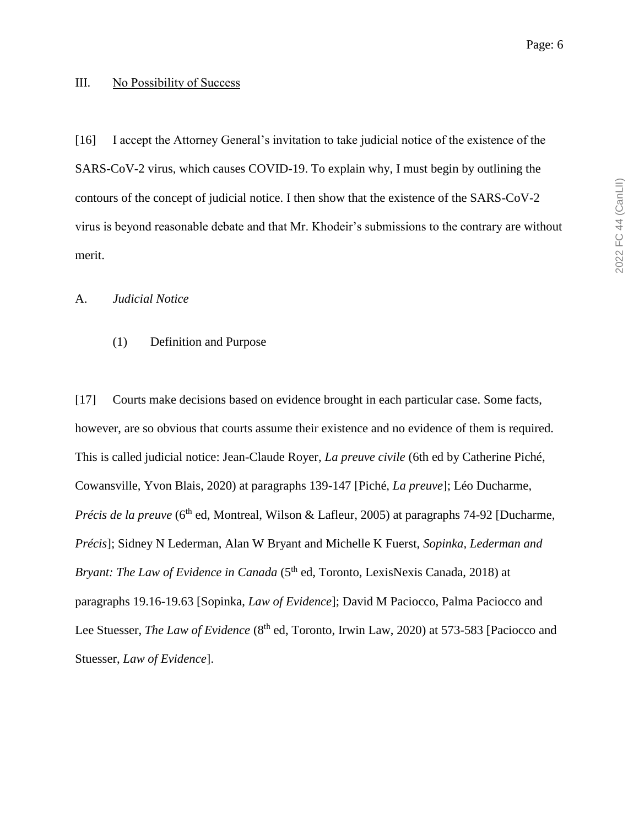#### III. No Possibility of Success

[16] I accept the Attorney General's invitation to take judicial notice of the existence of the SARS-CoV-2 virus, which causes COVID-19. To explain why, I must begin by outlining the contours of the concept of judicial notice. I then show that the existence of the SARS-CoV-2 virus is beyond reasonable debate and that Mr. Khodeir's submissions to the contrary are without merit.

#### A. *Judicial Notice*

#### (1) Definition and Purpose

[17] Courts make decisions based on evidence brought in each particular case. Some facts, however, are so obvious that courts assume their existence and no evidence of them is required. This is called judicial notice: Jean-Claude Royer, *La preuve civile* (6th ed by Catherine Piché, Cowansville, Yvon Blais, 2020) at paragraphs 139-147 [Piché, *La preuve*]; Léo Ducharme, *Précis de la preuve* (6<sup>th</sup> ed, Montreal, Wilson & Lafleur, 2005) at paragraphs 74-92 [Ducharme, *Précis*]; Sidney N Lederman, Alan W Bryant and Michelle K Fuerst, *Sopinka, Lederman and Bryant: The Law of Evidence in Canada* (5<sup>th</sup> ed, Toronto, LexisNexis Canada, 2018) at paragraphs 19.16-19.63 [Sopinka, *Law of Evidence*]; David M Paciocco, Palma Paciocco and Lee Stuesser, *The Law of Evidence* (8<sup>th</sup> ed, Toronto, Irwin Law, 2020) at 573-583 [Paciocco and Stuesser, *Law of Evidence*].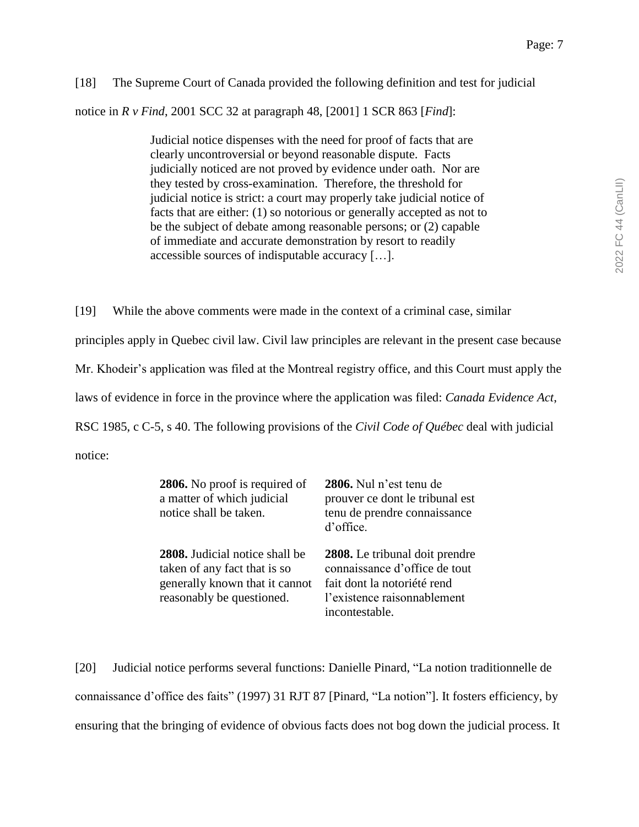# [18] The Supreme Court of Canada provided the following definition and test for judicial notice in *R v Find*, 2001 SCC 32 at paragraph 48, [2001] 1 SCR 863 [*Find*]:

Judicial notice dispenses with the need for proof of facts that are clearly uncontroversial or beyond reasonable dispute. Facts judicially noticed are not proved by evidence under oath. Nor are they tested by cross-examination. Therefore, the threshold for judicial notice is strict: a court may properly take judicial notice of facts that are either: (1) so notorious or generally accepted as not to be the subject of debate among reasonable persons; or (2) capable of immediate and accurate demonstration by resort to readily accessible sources of indisputable accuracy […].

[19] While the above comments were made in the context of a criminal case, similar principles apply in Quebec civil law. Civil law principles are relevant in the present case because Mr. Khodeir's application was filed at the Montreal registry office, and this Court must apply the laws of evidence in force in the province where the application was filed: *Canada Evidence Act*, RSC 1985, c C-5, s 40. The following provisions of the *Civil Code of Québec* deal with judicial notice:

| 2806. No proof is required of<br>a matter of which judicial<br>notice shall be taken.                                                | 2806. Nul n'est tenu de<br>prouver ce dont le tribunal est<br>tenu de prendre connaissance<br>d'office.                                         |
|--------------------------------------------------------------------------------------------------------------------------------------|-------------------------------------------------------------------------------------------------------------------------------------------------|
| <b>2808.</b> Judicial notice shall be<br>taken of any fact that is so<br>generally known that it cannot<br>reasonably be questioned. | 2808. Le tribunal doit prendre<br>connaissance d'office de tout<br>fait dont la notoriété rend<br>l'existence raisonnablement<br>incontestable. |

[20] Judicial notice performs several functions: Danielle Pinard, "La notion traditionnelle de connaissance d'office des faits" (1997) 31 RJT 87 [Pinard, "La notion"]. It fosters efficiency, by ensuring that the bringing of evidence of obvious facts does not bog down the judicial process. It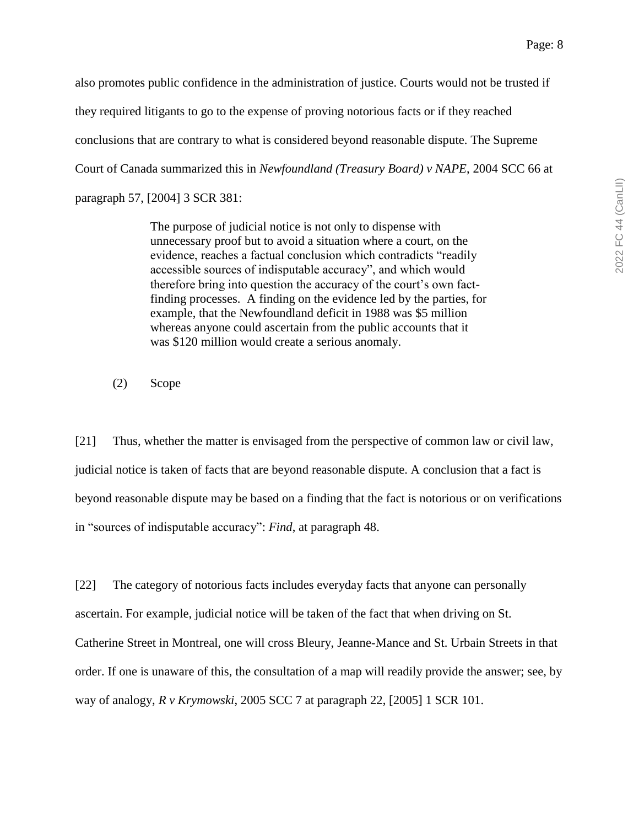also promotes public confidence in the administration of justice. Courts would not be trusted if they required litigants to go to the expense of proving notorious facts or if they reached conclusions that are contrary to what is considered beyond reasonable dispute. The Supreme Court of Canada summarized this in *Newfoundland (Treasury Board) v NAPE*, 2004 SCC 66 at paragraph 57, [2004] 3 SCR 381:

> The purpose of judicial notice is not only to dispense with unnecessary proof but to avoid a situation where a court, on the evidence, reaches a factual conclusion which contradicts "readily accessible sources of indisputable accuracy", and which would therefore bring into question the accuracy of the court's own factfinding processes. A finding on the evidence led by the parties, for example, that the Newfoundland deficit in 1988 was \$5 million whereas anyone could ascertain from the public accounts that it was \$120 million would create a serious anomaly.

(2) Scope

[21] Thus, whether the matter is envisaged from the perspective of common law or civil law, judicial notice is taken of facts that are beyond reasonable dispute. A conclusion that a fact is beyond reasonable dispute may be based on a finding that the fact is notorious or on verifications in "sources of indisputable accuracy": *Find*, at paragraph 48.

[22] The category of notorious facts includes everyday facts that anyone can personally ascertain. For example, judicial notice will be taken of the fact that when driving on St. Catherine Street in Montreal, one will cross Bleury, Jeanne-Mance and St. Urbain Streets in that order. If one is unaware of this, the consultation of a map will readily provide the answer; see, by way of analogy, *R v Krymowski*, 2005 SCC 7 at paragraph 22, [2005] 1 SCR 101.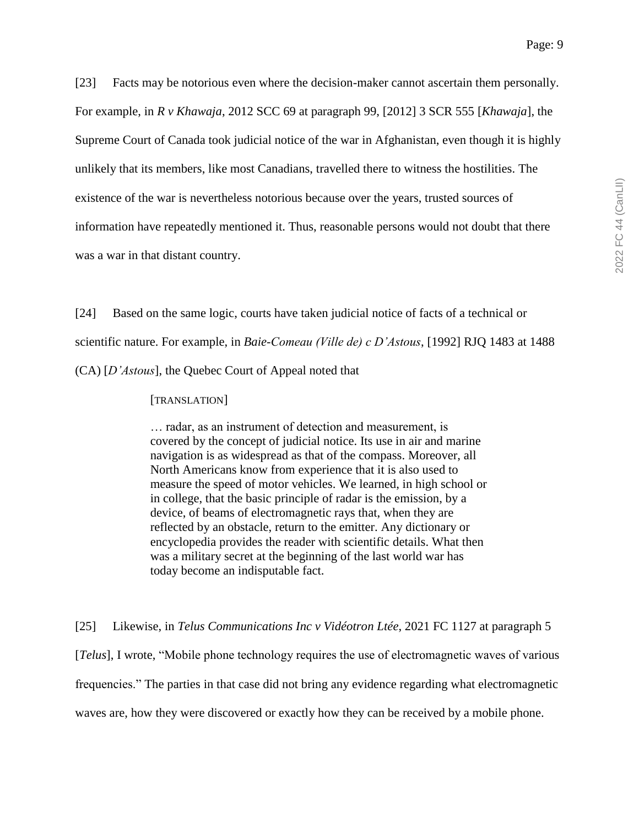[23] Facts may be notorious even where the decision-maker cannot ascertain them personally. For example, in *R v Khawaja*, 2012 SCC 69 at paragraph 99, [2012] 3 SCR 555 [*Khawaja*], the Supreme Court of Canada took judicial notice of the war in Afghanistan, even though it is highly unlikely that its members, like most Canadians, travelled there to witness the hostilities. The existence of the war is nevertheless notorious because over the years, trusted sources of information have repeatedly mentioned it. Thus, reasonable persons would not doubt that there was a war in that distant country.

[24] Based on the same logic, courts have taken judicial notice of facts of a technical or scientific nature. For example, in *Baie-Comeau (Ville de) c D'Astous*, [1992] RJQ 1483 at 1488 (CA) [*D'Astous*], the Quebec Court of Appeal noted that

#### [TRANSLATION]

… radar, as an instrument of detection and measurement, is covered by the concept of judicial notice. Its use in air and marine navigation is as widespread as that of the compass. Moreover, all North Americans know from experience that it is also used to measure the speed of motor vehicles. We learned, in high school or in college, that the basic principle of radar is the emission, by a device, of beams of electromagnetic rays that, when they are reflected by an obstacle, return to the emitter. Any dictionary or encyclopedia provides the reader with scientific details. What then was a military secret at the beginning of the last world war has today become an indisputable fact.

[25] Likewise, in *Telus Communications Inc v Vidéotron Ltée*, 2021 FC 1127 at paragraph 5 [*Telus*], I wrote, "Mobile phone technology requires the use of electromagnetic waves of various frequencies." The parties in that case did not bring any evidence regarding what electromagnetic waves are, how they were discovered or exactly how they can be received by a mobile phone.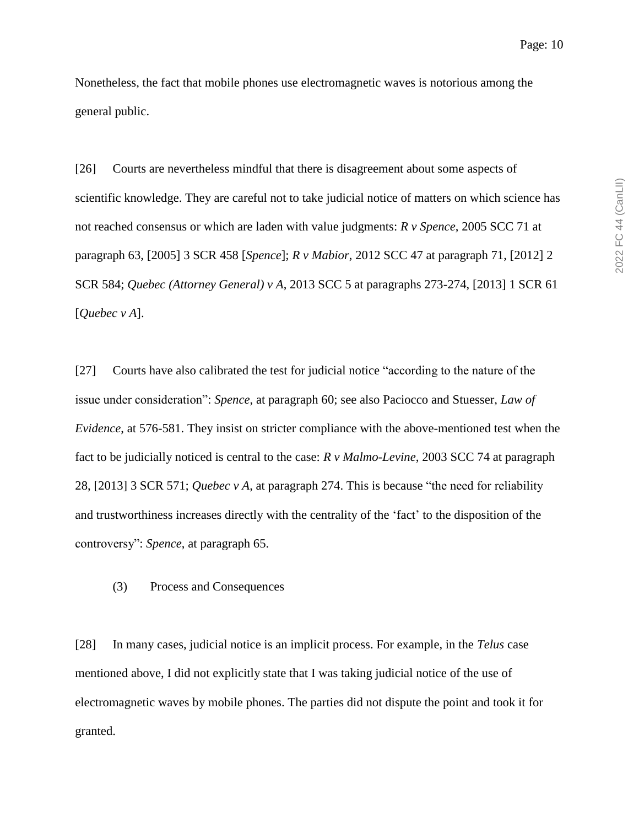Nonetheless, the fact that mobile phones use electromagnetic waves is notorious among the general public.

[26] Courts are nevertheless mindful that there is disagreement about some aspects of scientific knowledge. They are careful not to take judicial notice of matters on which science has not reached consensus or which are laden with value judgments: *R v Spence*, 2005 SCC 71 at paragraph 63, [2005] 3 SCR 458 [*Spence*]; *R v Mabior*, 2012 SCC 47 at paragraph 71, [2012] 2 SCR 584; *Quebec (Attorney General) v A*, 2013 SCC 5 at paragraphs 273-274, [2013] 1 SCR 61 [*Quebec v A*].

[27] Courts have also calibrated the test for judicial notice "according to the nature of the issue under consideration": *Spence*, at paragraph 60; see also Paciocco and Stuesser, *Law of Evidence*, at 576-581. They insist on stricter compliance with the above-mentioned test when the fact to be judicially noticed is central to the case: *R v Malmo-Levine*, 2003 SCC 74 at paragraph 28, [2013] 3 SCR 571; *Quebec v A*, at paragraph 274. This is because "the need for reliability and trustworthiness increases directly with the centrality of the 'fact' to the disposition of the controversy": *Spence*, at paragraph 65.

(3) Process and Consequences

[28] In many cases, judicial notice is an implicit process. For example, in the *Telus* case mentioned above, I did not explicitly state that I was taking judicial notice of the use of electromagnetic waves by mobile phones. The parties did not dispute the point and took it for granted.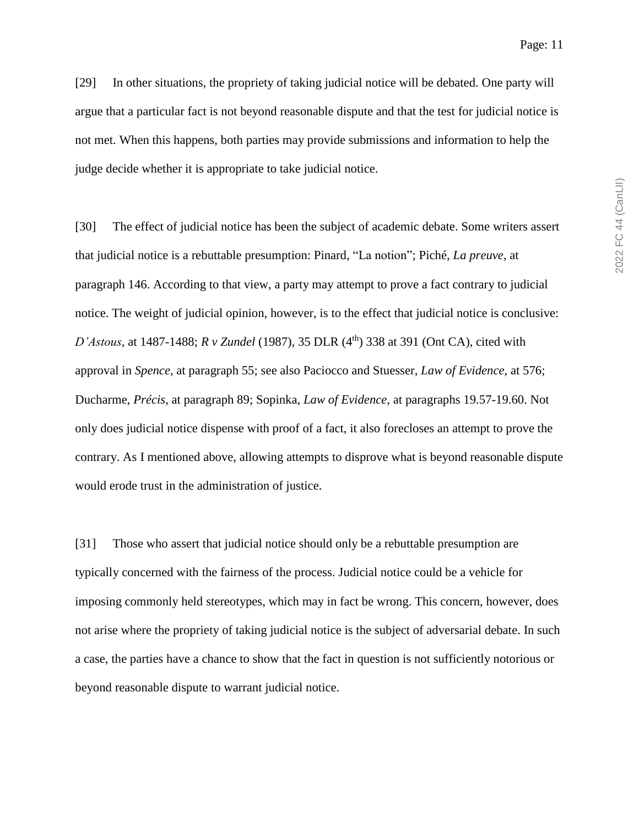[29] In other situations, the propriety of taking judicial notice will be debated. One party will argue that a particular fact is not beyond reasonable dispute and that the test for judicial notice is not met. When this happens, both parties may provide submissions and information to help the judge decide whether it is appropriate to take judicial notice.

[30] The effect of judicial notice has been the subject of academic debate. Some writers assert that judicial notice is a rebuttable presumption: Pinard, "La notion"; Piché, *La preuve*, at paragraph 146. According to that view, a party may attempt to prove a fact contrary to judicial notice. The weight of judicial opinion, however, is to the effect that judicial notice is conclusive: *D'Astous*, at 1487-1488; *R v Zundel* (1987), 35 DLR (4<sup>th</sup>) 338 at 391 (Ont CA), cited with approval in *Spence*, at paragraph 55; see also Paciocco and Stuesser, *Law of Evidence*, at 576; Ducharme, *Précis*, at paragraph 89; Sopinka, *Law of Evidence*, at paragraphs 19.57-19.60. Not only does judicial notice dispense with proof of a fact, it also forecloses an attempt to prove the contrary. As I mentioned above, allowing attempts to disprove what is beyond reasonable dispute would erode trust in the administration of justice.

[31] Those who assert that judicial notice should only be a rebuttable presumption are typically concerned with the fairness of the process. Judicial notice could be a vehicle for imposing commonly held stereotypes, which may in fact be wrong. This concern, however, does not arise where the propriety of taking judicial notice is the subject of adversarial debate. In such a case, the parties have a chance to show that the fact in question is not sufficiently notorious or beyond reasonable dispute to warrant judicial notice.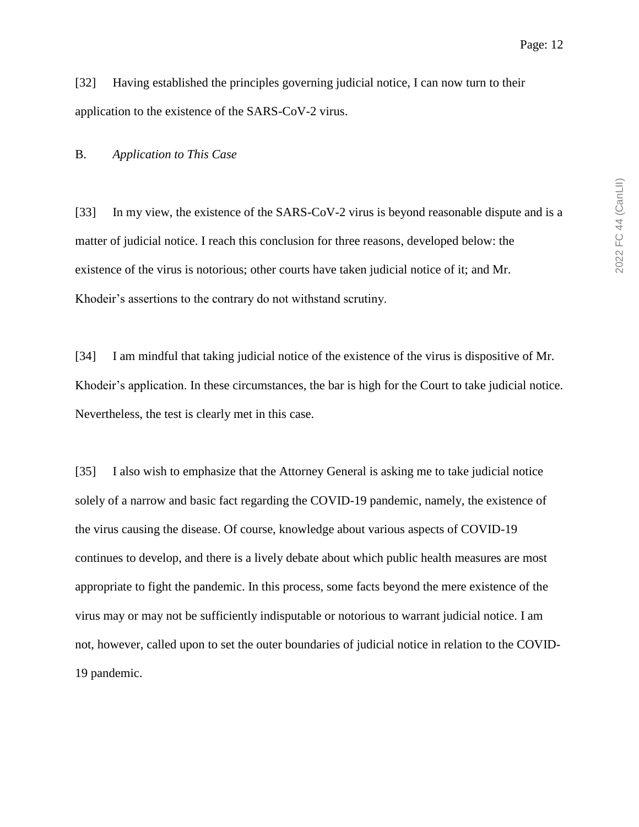[32] Having established the principles governing judicial notice, I can now turn to their application to the existence of the SARS-CoV-2 virus.

#### B. *Application to This Case*

[33] In my view, the existence of the SARS-CoV-2 virus is beyond reasonable dispute and is a matter of judicial notice. I reach this conclusion for three reasons, developed below: the existence of the virus is notorious; other courts have taken judicial notice of it; and Mr. Khodeir's assertions to the contrary do not withstand scrutiny.

[34] I am mindful that taking judicial notice of the existence of the virus is dispositive of Mr. Khodeir's application. In these circumstances, the bar is high for the Court to take judicial notice. Nevertheless, the test is clearly met in this case.

[35] I also wish to emphasize that the Attorney General is asking me to take judicial notice solely of a narrow and basic fact regarding the COVID-19 pandemic, namely, the existence of the virus causing the disease. Of course, knowledge about various aspects of COVID-19 continues to develop, and there is a lively debate about which public health measures are most appropriate to fight the pandemic. In this process, some facts beyond the mere existence of the virus may or may not be sufficiently indisputable or notorious to warrant judicial notice. I am not, however, called upon to set the outer boundaries of judicial notice in relation to the COVID-19 pandemic.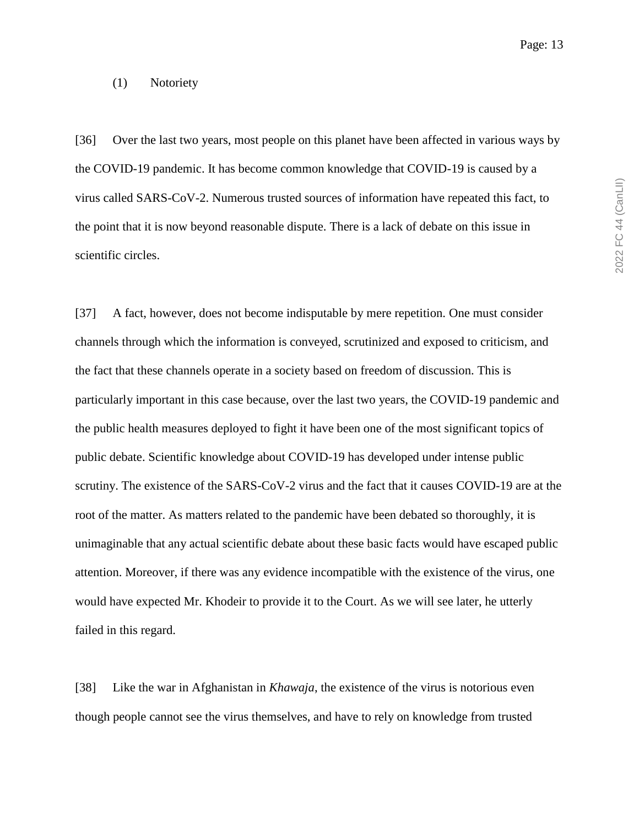#### (1) Notoriety

[36] Over the last two years, most people on this planet have been affected in various ways by the COVID-19 pandemic. It has become common knowledge that COVID-19 is caused by a virus called SARS-CoV-2. Numerous trusted sources of information have repeated this fact, to the point that it is now beyond reasonable dispute. There is a lack of debate on this issue in scientific circles.

[37] A fact, however, does not become indisputable by mere repetition. One must consider channels through which the information is conveyed, scrutinized and exposed to criticism, and the fact that these channels operate in a society based on freedom of discussion. This is particularly important in this case because, over the last two years, the COVID-19 pandemic and the public health measures deployed to fight it have been one of the most significant topics of public debate. Scientific knowledge about COVID-19 has developed under intense public scrutiny. The existence of the SARS-CoV-2 virus and the fact that it causes COVID-19 are at the root of the matter. As matters related to the pandemic have been debated so thoroughly, it is unimaginable that any actual scientific debate about these basic facts would have escaped public attention. Moreover, if there was any evidence incompatible with the existence of the virus, one would have expected Mr. Khodeir to provide it to the Court. As we will see later, he utterly failed in this regard.

[38] Like the war in Afghanistan in *Khawaja*, the existence of the virus is notorious even though people cannot see the virus themselves, and have to rely on knowledge from trusted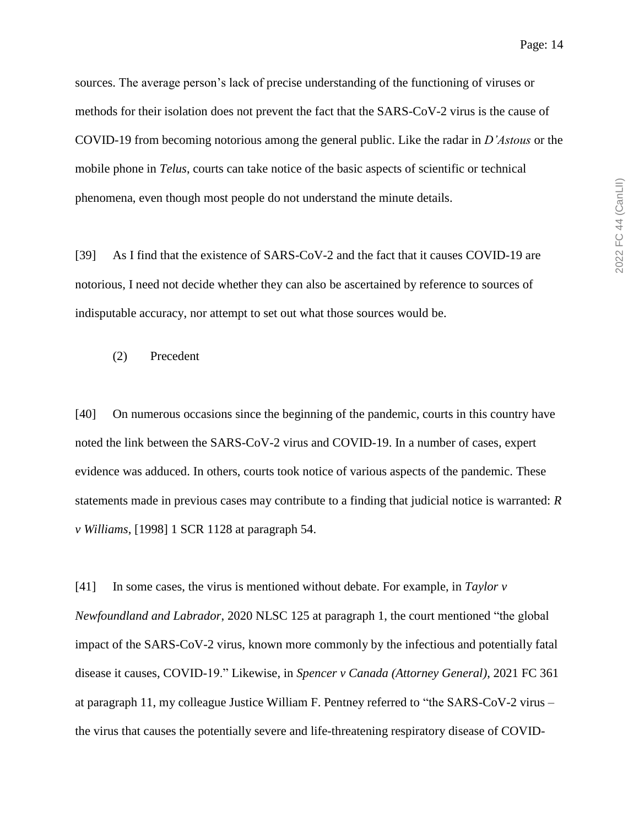2022 FC 44 (CanLII) 2022 FC 44 (CanLII)

sources. The average person's lack of precise understanding of the functioning of viruses or methods for their isolation does not prevent the fact that the SARS-CoV-2 virus is the cause of COVID-19 from becoming notorious among the general public. Like the radar in *D'Astous* or the mobile phone in *Telus*, courts can take notice of the basic aspects of scientific or technical phenomena, even though most people do not understand the minute details.

[39] As I find that the existence of SARS-CoV-2 and the fact that it causes COVID-19 are notorious, I need not decide whether they can also be ascertained by reference to sources of indisputable accuracy, nor attempt to set out what those sources would be.

(2) Precedent

[40] On numerous occasions since the beginning of the pandemic, courts in this country have noted the link between the SARS-CoV-2 virus and COVID-19. In a number of cases, expert evidence was adduced. In others, courts took notice of various aspects of the pandemic. These statements made in previous cases may contribute to a finding that judicial notice is warranted: *R v Williams*, [1998] 1 SCR 1128 at paragraph 54.

[41] In some cases, the virus is mentioned without debate. For example, in *Taylor v Newfoundland and Labrador*, 2020 NLSC 125 at paragraph 1, the court mentioned "the global impact of the SARS-CoV-2 virus, known more commonly by the infectious and potentially fatal disease it causes, COVID-19." Likewise, in *Spencer v Canada (Attorney General)*, 2021 FC 361 at paragraph 11, my colleague Justice William F. Pentney referred to "the SARS-CoV-2 virus – the virus that causes the potentially severe and life-threatening respiratory disease of COVID-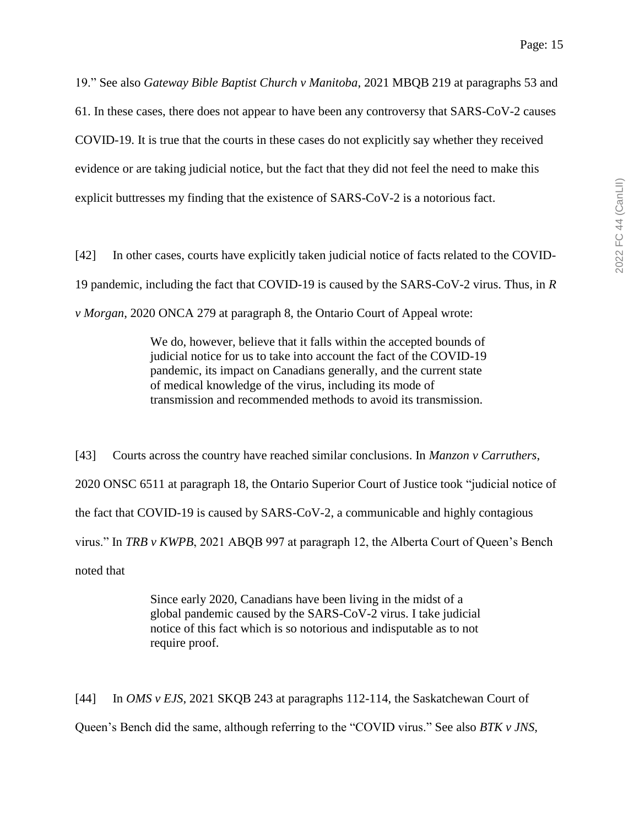19." See also *Gateway Bible Baptist Church v Manitoba*, 2021 MBQB 219 at paragraphs 53 and 61. In these cases, there does not appear to have been any controversy that SARS-CoV-2 causes COVID-19. It is true that the courts in these cases do not explicitly say whether they received evidence or are taking judicial notice, but the fact that they did not feel the need to make this explicit buttresses my finding that the existence of SARS-CoV-2 is a notorious fact.

[42] In other cases, courts have explicitly taken judicial notice of facts related to the COVID-19 pandemic, including the fact that COVID-19 is caused by the SARS-CoV-2 virus. Thus, in *R v Morgan*, 2020 ONCA 279 at paragraph 8, the Ontario Court of Appeal wrote:

> We do, however, believe that it falls within the accepted bounds of judicial notice for us to take into account the fact of the COVID-19 pandemic, its impact on Canadians generally, and the current state of medical knowledge of the virus, including its mode of transmission and recommended methods to avoid its transmission.

[43] Courts across the country have reached similar conclusions. In *Manzon v Carruthers*, 2020 ONSC 6511 at paragraph 18, the Ontario Superior Court of Justice took "judicial notice of the fact that COVID-19 is caused by SARS-CoV-2, a communicable and highly contagious virus." In *TRB v KWPB*, 2021 ABQB 997 at paragraph 12, the Alberta Court of Queen's Bench noted that

> Since early 2020, Canadians have been living in the midst of a global pandemic caused by the SARS-CoV-2 virus. I take judicial notice of this fact which is so notorious and indisputable as to not require proof.

[44] In *OMS v EJS*, 2021 SKQB 243 at paragraphs 112-114, the Saskatchewan Court of Queen's Bench did the same, although referring to the "COVID virus." See also *BTK v JNS*,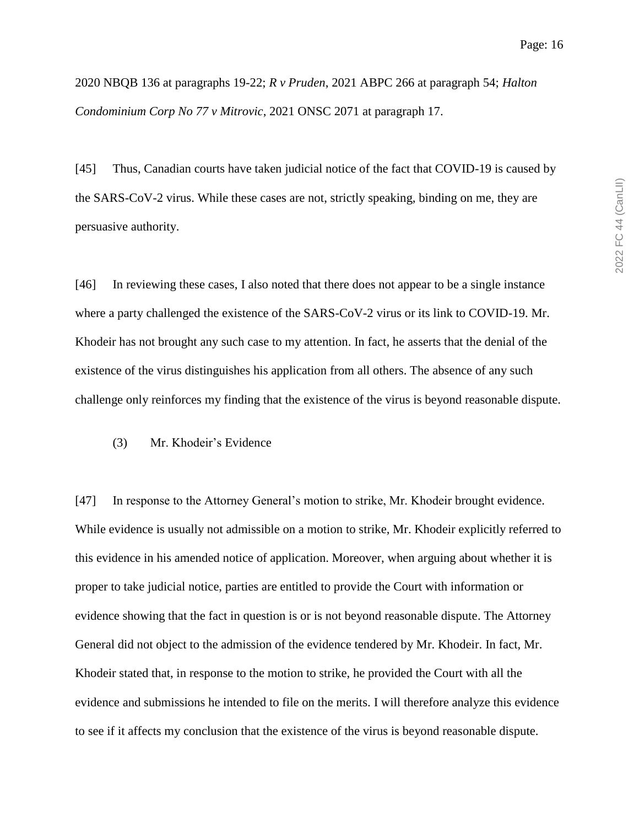2020 NBQB 136 at paragraphs 19-22; *R v Pruden*, 2021 ABPC 266 at paragraph 54; *Halton Condominium Corp No 77 v Mitrovic*, 2021 ONSC 2071 at paragraph 17.

[45] Thus, Canadian courts have taken judicial notice of the fact that COVID-19 is caused by the SARS-CoV-2 virus. While these cases are not, strictly speaking, binding on me, they are persuasive authority.

[46] In reviewing these cases, I also noted that there does not appear to be a single instance where a party challenged the existence of the SARS-CoV-2 virus or its link to COVID-19. Mr. Khodeir has not brought any such case to my attention. In fact, he asserts that the denial of the existence of the virus distinguishes his application from all others. The absence of any such challenge only reinforces my finding that the existence of the virus is beyond reasonable dispute.

(3) Mr. Khodeir's Evidence

[47] In response to the Attorney General's motion to strike, Mr. Khodeir brought evidence. While evidence is usually not admissible on a motion to strike, Mr. Khodeir explicitly referred to this evidence in his amended notice of application. Moreover, when arguing about whether it is proper to take judicial notice, parties are entitled to provide the Court with information or evidence showing that the fact in question is or is not beyond reasonable dispute. The Attorney General did not object to the admission of the evidence tendered by Mr. Khodeir. In fact, Mr. Khodeir stated that, in response to the motion to strike, he provided the Court with all the evidence and submissions he intended to file on the merits. I will therefore analyze this evidence to see if it affects my conclusion that the existence of the virus is beyond reasonable dispute.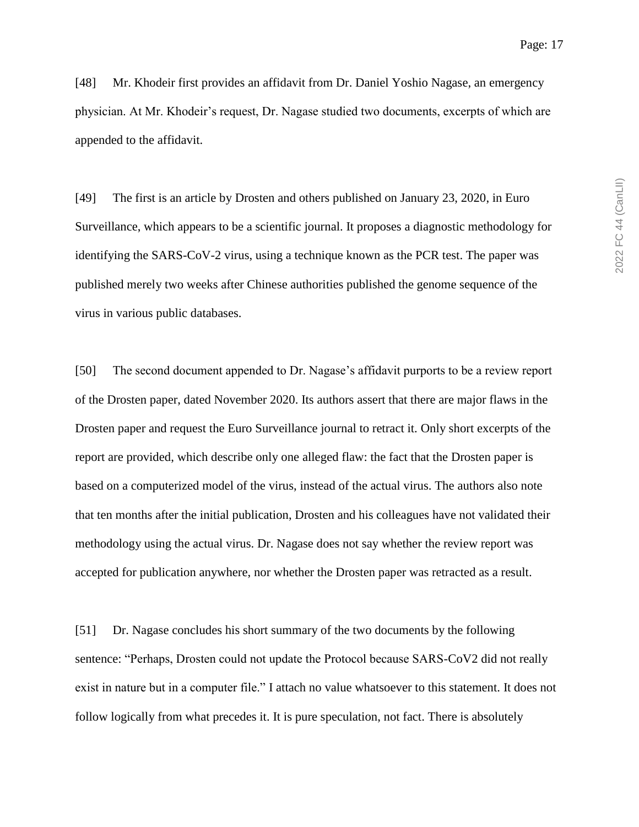[48] Mr. Khodeir first provides an affidavit from Dr. Daniel Yoshio Nagase, an emergency physician. At Mr. Khodeir's request, Dr. Nagase studied two documents, excerpts of which are appended to the affidavit.

[49] The first is an article by Drosten and others published on January 23, 2020, in Euro Surveillance, which appears to be a scientific journal. It proposes a diagnostic methodology for identifying the SARS-CoV-2 virus, using a technique known as the PCR test. The paper was published merely two weeks after Chinese authorities published the genome sequence of the virus in various public databases.

[50] The second document appended to Dr. Nagase's affidavit purports to be a review report of the Drosten paper, dated November 2020. Its authors assert that there are major flaws in the Drosten paper and request the Euro Surveillance journal to retract it. Only short excerpts of the report are provided, which describe only one alleged flaw: the fact that the Drosten paper is based on a computerized model of the virus, instead of the actual virus. The authors also note that ten months after the initial publication, Drosten and his colleagues have not validated their methodology using the actual virus. Dr. Nagase does not say whether the review report was accepted for publication anywhere, nor whether the Drosten paper was retracted as a result.

[51] Dr. Nagase concludes his short summary of the two documents by the following sentence: "Perhaps, Drosten could not update the Protocol because SARS-CoV2 did not really exist in nature but in a computer file." I attach no value whatsoever to this statement. It does not follow logically from what precedes it. It is pure speculation, not fact. There is absolutely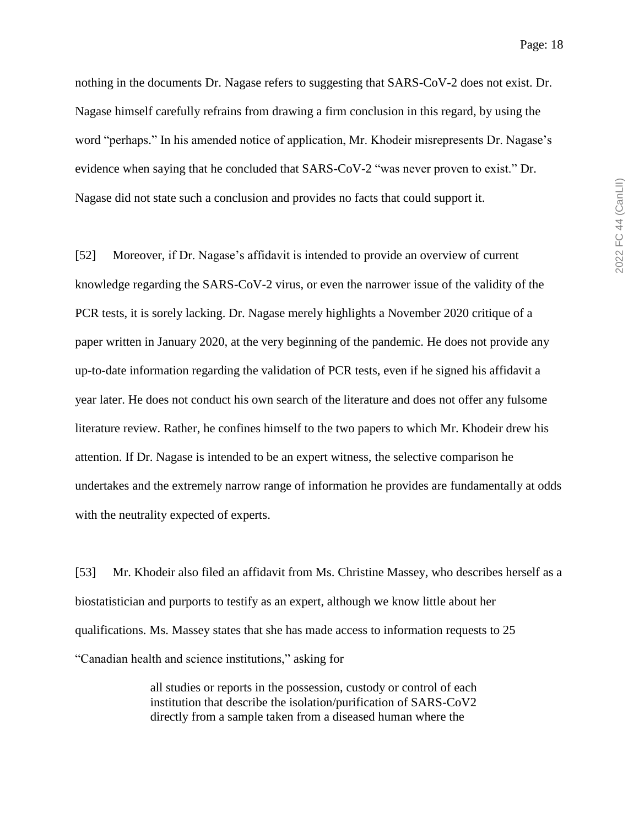Page: 18

nothing in the documents Dr. Nagase refers to suggesting that SARS-CoV-2 does not exist. Dr. Nagase himself carefully refrains from drawing a firm conclusion in this regard, by using the word "perhaps." In his amended notice of application, Mr. Khodeir misrepresents Dr. Nagase's evidence when saying that he concluded that SARS-CoV-2 "was never proven to exist." Dr. Nagase did not state such a conclusion and provides no facts that could support it.

[52] Moreover, if Dr. Nagase's affidavit is intended to provide an overview of current knowledge regarding the SARS-CoV-2 virus, or even the narrower issue of the validity of the PCR tests, it is sorely lacking. Dr. Nagase merely highlights a November 2020 critique of a paper written in January 2020, at the very beginning of the pandemic. He does not provide any up-to-date information regarding the validation of PCR tests, even if he signed his affidavit a year later. He does not conduct his own search of the literature and does not offer any fulsome literature review. Rather, he confines himself to the two papers to which Mr. Khodeir drew his attention. If Dr. Nagase is intended to be an expert witness, the selective comparison he undertakes and the extremely narrow range of information he provides are fundamentally at odds with the neutrality expected of experts.

[53] Mr. Khodeir also filed an affidavit from Ms. Christine Massey, who describes herself as a biostatistician and purports to testify as an expert, although we know little about her qualifications. Ms. Massey states that she has made access to information requests to 25 "Canadian health and science institutions," asking for

> all studies or reports in the possession, custody or control of each institution that describe the isolation/purification of SARS-CoV2 directly from a sample taken from a diseased human where the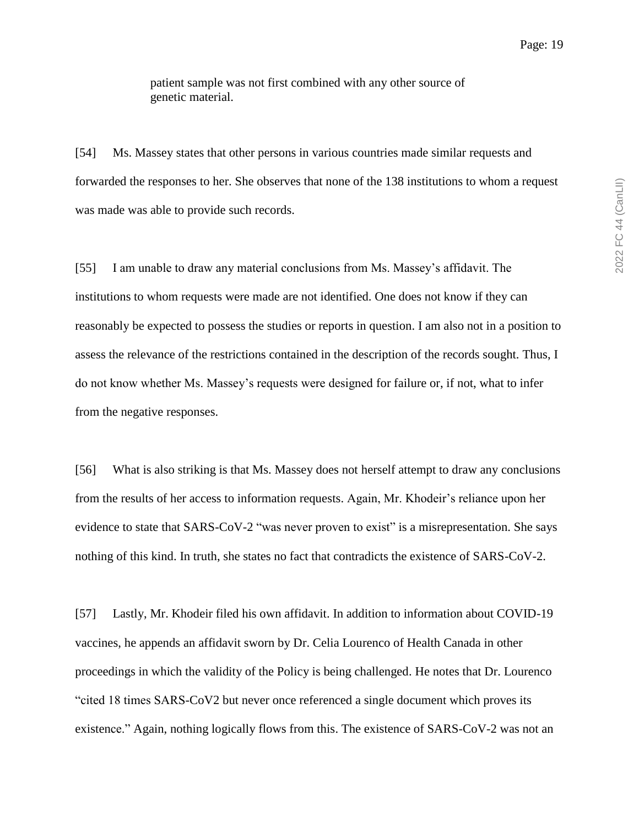Page: 19

patient sample was not first combined with any other source of genetic material.

[54] Ms. Massey states that other persons in various countries made similar requests and forwarded the responses to her. She observes that none of the 138 institutions to whom a request was made was able to provide such records.

[55] I am unable to draw any material conclusions from Ms. Massey's affidavit. The institutions to whom requests were made are not identified. One does not know if they can reasonably be expected to possess the studies or reports in question. I am also not in a position to assess the relevance of the restrictions contained in the description of the records sought. Thus, I do not know whether Ms. Massey's requests were designed for failure or, if not, what to infer from the negative responses.

[56] What is also striking is that Ms. Massey does not herself attempt to draw any conclusions from the results of her access to information requests. Again, Mr. Khodeir's reliance upon her evidence to state that SARS-CoV-2 "was never proven to exist" is a misrepresentation. She says nothing of this kind. In truth, she states no fact that contradicts the existence of SARS-CoV-2.

[57] Lastly, Mr. Khodeir filed his own affidavit. In addition to information about COVID-19 vaccines, he appends an affidavit sworn by Dr. Celia Lourenco of Health Canada in other proceedings in which the validity of the Policy is being challenged. He notes that Dr. Lourenco "cited 18 times SARS-CoV2 but never once referenced a single document which proves its existence." Again, nothing logically flows from this. The existence of SARS-CoV-2 was not an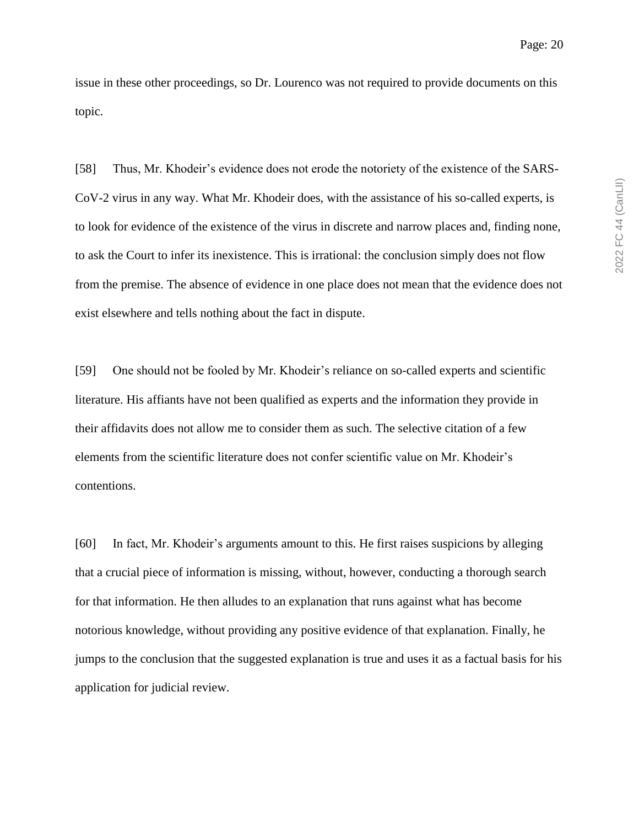issue in these other proceedings, so Dr. Lourenco was not required to provide documents on this topic.

[58] Thus, Mr. Khodeir's evidence does not erode the notoriety of the existence of the SARS-CoV-2 virus in any way. What Mr. Khodeir does, with the assistance of his so-called experts, is to look for evidence of the existence of the virus in discrete and narrow places and, finding none, to ask the Court to infer its inexistence. This is irrational: the conclusion simply does not flow from the premise. The absence of evidence in one place does not mean that the evidence does not exist elsewhere and tells nothing about the fact in dispute.

[59] One should not be fooled by Mr. Khodeir's reliance on so-called experts and scientific literature. His affiants have not been qualified as experts and the information they provide in their affidavits does not allow me to consider them as such. The selective citation of a few elements from the scientific literature does not confer scientific value on Mr. Khodeir's contentions.

[60] In fact, Mr. Khodeir's arguments amount to this. He first raises suspicions by alleging that a crucial piece of information is missing, without, however, conducting a thorough search for that information. He then alludes to an explanation that runs against what has become notorious knowledge, without providing any positive evidence of that explanation. Finally, he jumps to the conclusion that the suggested explanation is true and uses it as a factual basis for his application for judicial review.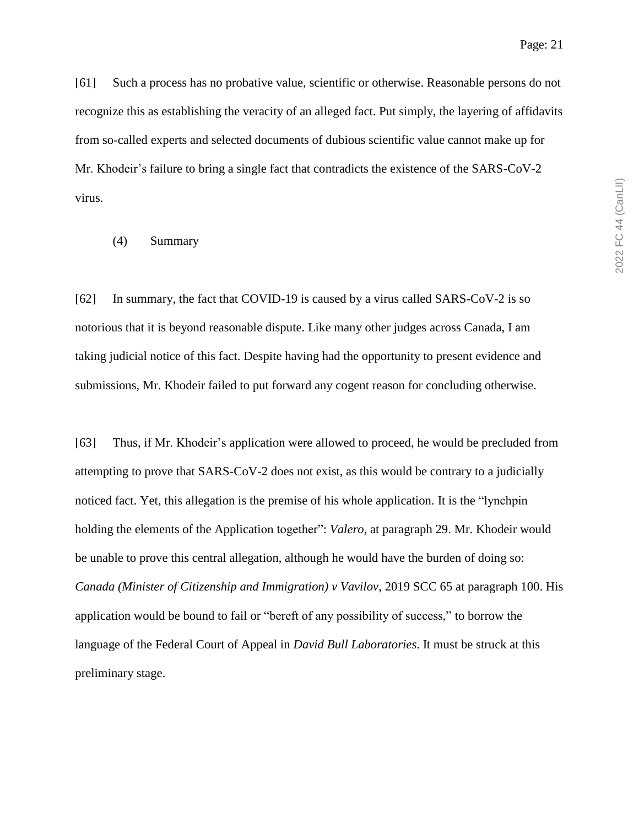Page: 21

[61] Such a process has no probative value, scientific or otherwise. Reasonable persons do not recognize this as establishing the veracity of an alleged fact. Put simply, the layering of affidavits from so-called experts and selected documents of dubious scientific value cannot make up for Mr. Khodeir's failure to bring a single fact that contradicts the existence of the SARS-CoV-2 virus.

#### (4) Summary

[62] In summary, the fact that COVID-19 is caused by a virus called SARS-CoV-2 is so notorious that it is beyond reasonable dispute. Like many other judges across Canada, I am taking judicial notice of this fact. Despite having had the opportunity to present evidence and submissions, Mr. Khodeir failed to put forward any cogent reason for concluding otherwise.

[63] Thus, if Mr. Khodeir's application were allowed to proceed, he would be precluded from attempting to prove that SARS-CoV-2 does not exist, as this would be contrary to a judicially noticed fact. Yet, this allegation is the premise of his whole application. It is the "lynchpin holding the elements of the Application together": *Valero*, at paragraph 29. Mr. Khodeir would be unable to prove this central allegation, although he would have the burden of doing so: *Canada (Minister of Citizenship and Immigration) v Vavilov*, 2019 SCC 65 at paragraph 100. His application would be bound to fail or "bereft of any possibility of success," to borrow the language of the Federal Court of Appeal in *David Bull Laboratories*. It must be struck at this preliminary stage.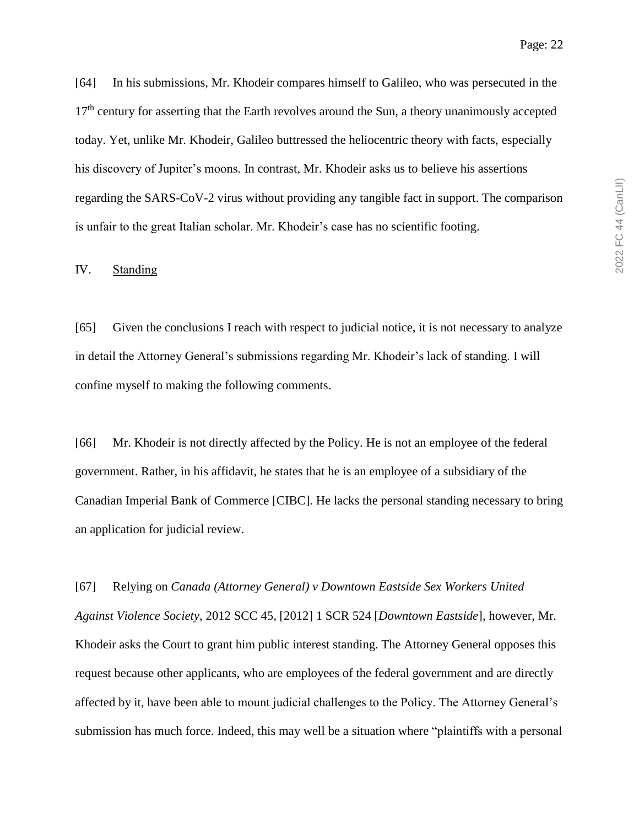[64] In his submissions, Mr. Khodeir compares himself to Galileo, who was persecuted in the  $17<sup>th</sup>$  century for asserting that the Earth revolves around the Sun, a theory unanimously accepted today. Yet, unlike Mr. Khodeir, Galileo buttressed the heliocentric theory with facts, especially his discovery of Jupiter's moons. In contrast, Mr. Khodeir asks us to believe his assertions regarding the SARS-CoV-2 virus without providing any tangible fact in support. The comparison is unfair to the great Italian scholar. Mr. Khodeir's case has no scientific footing.

#### IV. Standing

[65] Given the conclusions I reach with respect to judicial notice, it is not necessary to analyze in detail the Attorney General's submissions regarding Mr. Khodeir's lack of standing. I will confine myself to making the following comments.

[66] Mr. Khodeir is not directly affected by the Policy. He is not an employee of the federal government. Rather, in his affidavit, he states that he is an employee of a subsidiary of the Canadian Imperial Bank of Commerce [CIBC]. He lacks the personal standing necessary to bring an application for judicial review.

[67] Relying on *Canada (Attorney General) v Downtown Eastside Sex Workers United Against Violence Society*, 2012 SCC 45, [2012] 1 SCR 524 [*Downtown Eastside*], however, Mr. Khodeir asks the Court to grant him public interest standing. The Attorney General opposes this request because other applicants, who are employees of the federal government and are directly affected by it, have been able to mount judicial challenges to the Policy. The Attorney General's submission has much force. Indeed, this may well be a situation where "plaintiffs with a personal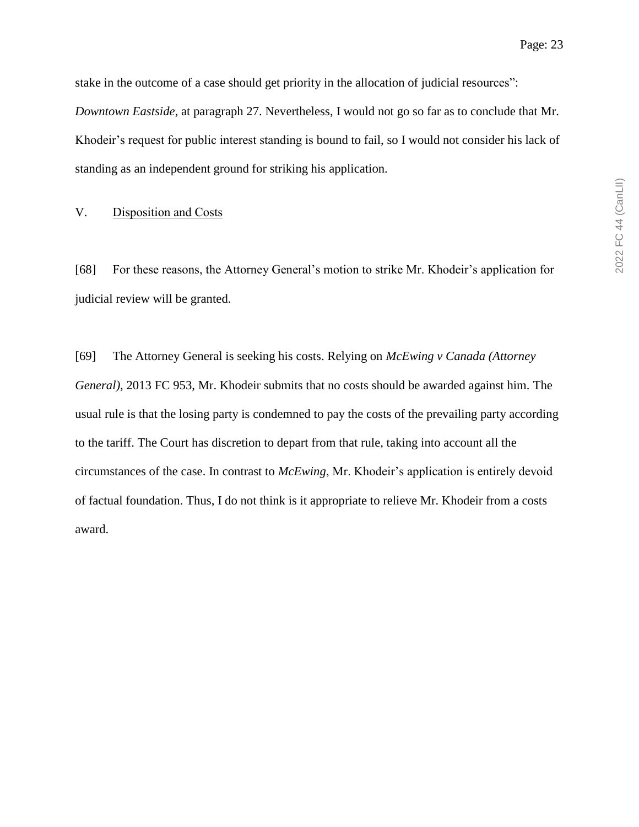stake in the outcome of a case should get priority in the allocation of judicial resources": *Downtown Eastside*, at paragraph 27. Nevertheless, I would not go so far as to conclude that Mr. Khodeir's request for public interest standing is bound to fail, so I would not consider his lack of standing as an independent ground for striking his application.

#### V. Disposition and Costs

[68] For these reasons, the Attorney General's motion to strike Mr. Khodeir's application for judicial review will be granted.

[69] The Attorney General is seeking his costs. Relying on *McEwing v Canada (Attorney General)*, 2013 FC 953, Mr. Khodeir submits that no costs should be awarded against him. The usual rule is that the losing party is condemned to pay the costs of the prevailing party according to the tariff. The Court has discretion to depart from that rule, taking into account all the circumstances of the case. In contrast to *McEwing*, Mr. Khodeir's application is entirely devoid of factual foundation. Thus, I do not think is it appropriate to relieve Mr. Khodeir from a costs award.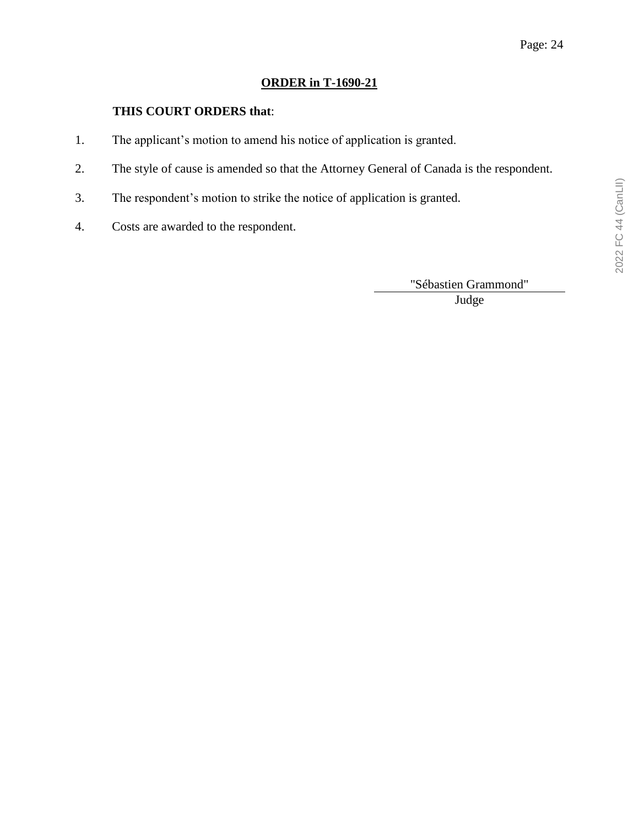# **ORDER in T-1690-21**

# **THIS COURT ORDERS that**:

- 1. The applicant's motion to amend his notice of application is granted.
- 2. The style of cause is amended so that the Attorney General of Canada is the respondent.
- 3. The respondent's motion to strike the notice of application is granted.
- 4. Costs are awarded to the respondent.

"Sébastien Grammond" Judge